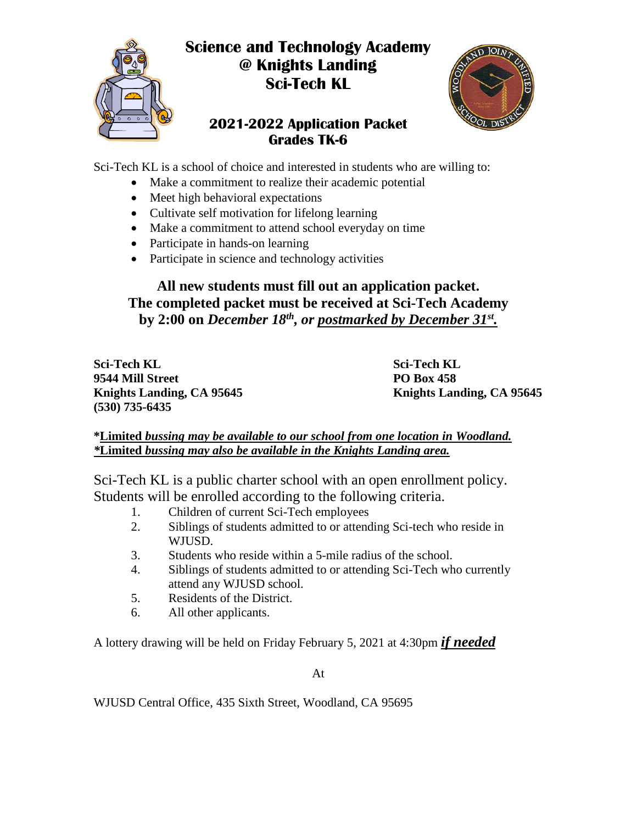

# **Science and Technology Academy @ Knights Landing Sci-Tech KL**

## **2021-2022 Application Packet Grades TK-6**



Sci-Tech KL is a school of choice and interested in students who are willing to:

- Make a commitment to realize their academic potential
- Meet high behavioral expectations
- Cultivate self motivation for lifelong learning
- Make a commitment to attend school everyday on time
- Participate in hands-on learning
- Participate in science and technology activities

## **All new students must fill out an application packet. The completed packet must be received at Sci-Tech Academy** by 2:00 on *December 18<sup>th</sup>, or <u>postmarked by December 31<sup>st</sup></u>.</sub>*

**Sci-Tech KL Sci-Tech KL 9544 Mill Street PO Box 458 (530) 735-6435**

**Knights Landing, CA 95645 Knights Landing, CA 95645**

#### **\*Limited** *bussing may be available to our school from one location in Woodland. \****Limited** *bussing may also be available in the Knights Landing area.*

Sci-Tech KL is a public charter school with an open enrollment policy. Students will be enrolled according to the following criteria.

- 1. Children of current Sci-Tech employees
- 2. Siblings of students admitted to or attending Sci-tech who reside in WJUSD.
- 3. Students who reside within a 5-mile radius of the school.
- 4. Siblings of students admitted to or attending Sci-Tech who currently attend any WJUSD school.
- 5. Residents of the District.
- 6. All other applicants.

A lottery drawing will be held on Friday February 5, 2021 at 4:30pm *if needed*

At

WJUSD Central Office, 435 Sixth Street, Woodland, CA 95695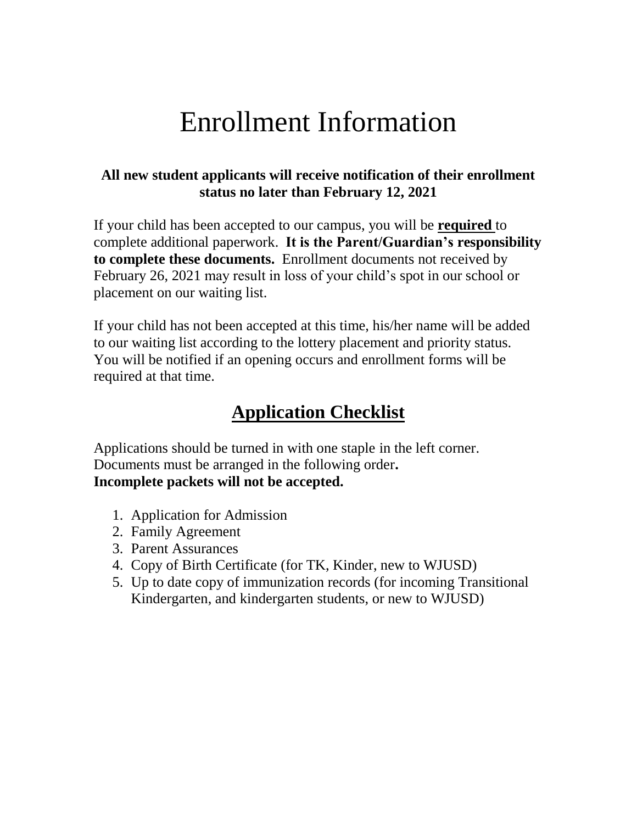# Enrollment Information

## **All new student applicants will receive notification of their enrollment status no later than February 12, 2021**

If your child has been accepted to our campus, you will be **required** to complete additional paperwork. **It is the Parent/Guardian's responsibility to complete these documents.** Enrollment documents not received by February 26, 2021 may result in loss of your child's spot in our school or placement on our waiting list.

If your child has not been accepted at this time, his/her name will be added to our waiting list according to the lottery placement and priority status. You will be notified if an opening occurs and enrollment forms will be required at that time.

# **Application Checklist**

Applications should be turned in with one staple in the left corner. Documents must be arranged in the following order**. Incomplete packets will not be accepted.**

- 1. Application for Admission
- 2. Family Agreement
- 3. Parent Assurances
- 4. Copy of Birth Certificate (for TK, Kinder, new to WJUSD)
- 5. Up to date copy of immunization records (for incoming Transitional Kindergarten, and kindergarten students, or new to WJUSD)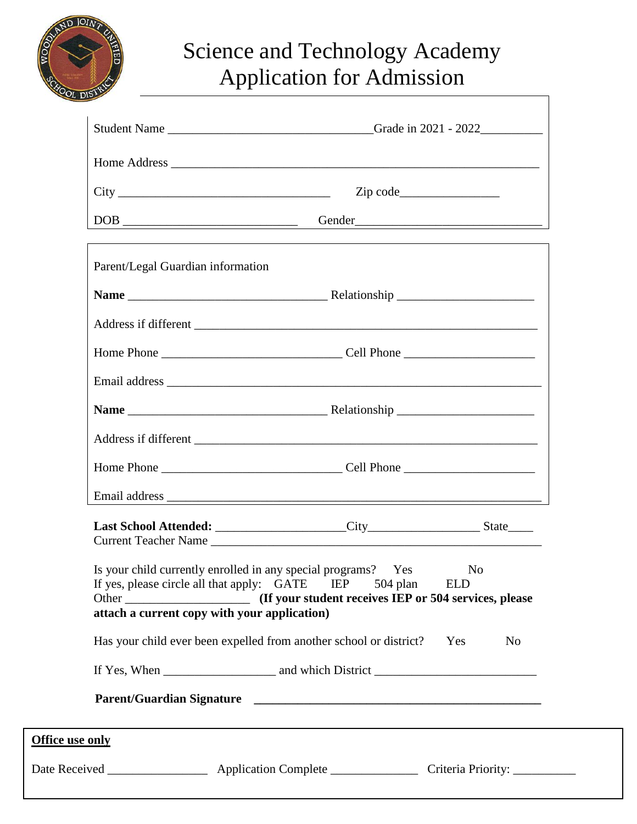

# Science and Technology Academy Application for Admission

| $City$ $Zip code$                                                                                                                                           |                                                                       |                              |
|-------------------------------------------------------------------------------------------------------------------------------------------------------------|-----------------------------------------------------------------------|------------------------------|
| DOB Gender                                                                                                                                                  |                                                                       |                              |
| Parent/Legal Guardian information                                                                                                                           |                                                                       |                              |
|                                                                                                                                                             |                                                                       |                              |
|                                                                                                                                                             |                                                                       |                              |
|                                                                                                                                                             |                                                                       |                              |
|                                                                                                                                                             |                                                                       |                              |
| Name Relationship                                                                                                                                           |                                                                       |                              |
|                                                                                                                                                             |                                                                       |                              |
|                                                                                                                                                             |                                                                       |                              |
|                                                                                                                                                             |                                                                       |                              |
|                                                                                                                                                             |                                                                       |                              |
| Is your child currently enrolled in any special programs? Yes<br>If yes, please circle all that apply: GATE<br>attach a current copy with your application) | IEP 504 plan<br>(If your student receives IEP or 504 services, please | N <sub>0</sub><br><b>ELD</b> |
| Has your child ever been expelled from another school or district?                                                                                          |                                                                       | Yes<br>N <sub>0</sub>        |
|                                                                                                                                                             |                                                                       |                              |
|                                                                                                                                                             |                                                                       |                              |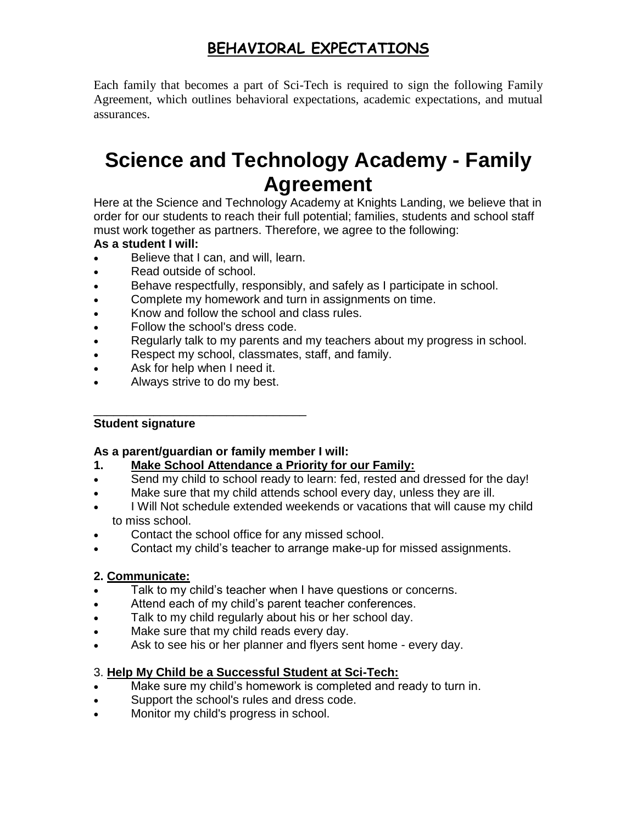# **BEHAVIORAL EXPECTATIONS**

Each family that becomes a part of Sci-Tech is required to sign the following Family Agreement, which outlines behavioral expectations, academic expectations, and mutual assurances.

# **Science and Technology Academy - Family Agreement**

Here at the Science and Technology Academy at Knights Landing, we believe that in order for our students to reach their full potential; families, students and school staff must work together as partners. Therefore, we agree to the following:

#### **As a student I will:**

- Believe that I can, and will, learn.
- Read outside of school.
- Behave respectfully, responsibly, and safely as I participate in school.
- Complete my homework and turn in assignments on time.
- Know and follow the school and class rules.
- Follow the school's dress code.
- Regularly talk to my parents and my teachers about my progress in school.
- Respect my school, classmates, staff, and family.
- Ask for help when I need it.
- Always strive to do my best.

#### \_\_\_\_\_\_\_\_\_\_\_\_\_\_\_\_\_\_\_\_\_\_\_\_\_\_\_\_\_\_\_\_ **Student signature**

#### **As a parent/guardian or family member I will:**

- **1. Make School Attendance a Priority for our Family:**
- Send my child to school ready to learn: fed, rested and dressed for the day!
- Make sure that my child attends school every day, unless they are ill.
- I Will Not schedule extended weekends or vacations that will cause my child to miss school.
- Contact the school office for any missed school.
- Contact my child's teacher to arrange make-up for missed assignments.

#### **2. Communicate:**

- Talk to my child's teacher when I have questions or concerns.
- Attend each of my child's parent teacher conferences.
- Talk to my child regularly about his or her school day.
- Make sure that my child reads every day.
- Ask to see his or her planner and flyers sent home every day.

#### 3. **Help My Child be a Successful Student at Sci-Tech:**

- Make sure my child's homework is completed and ready to turn in.
- Support the school's rules and dress code.
- Monitor my child's progress in school.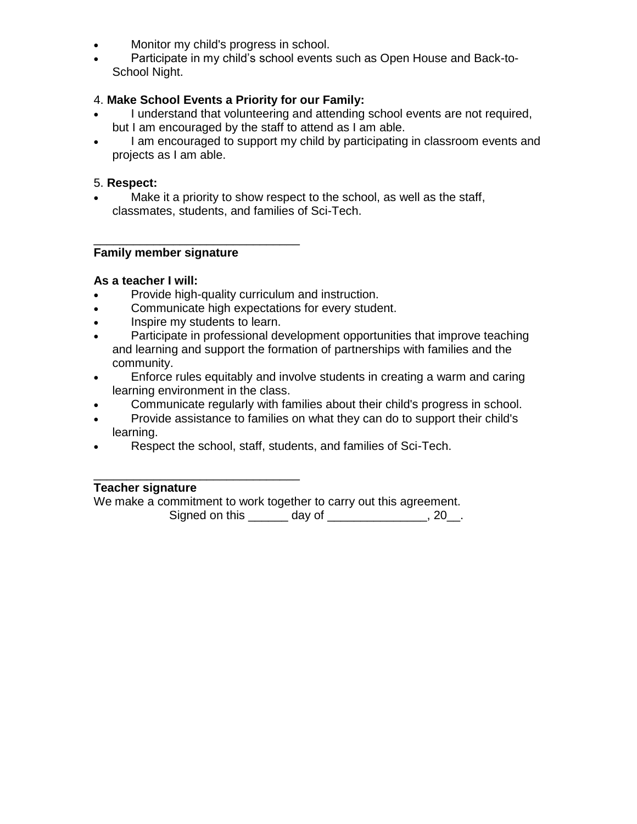- Monitor my child's progress in school.
- Participate in my child's school events such as Open House and Back-to-School Night.

#### 4. **Make School Events a Priority for our Family:**

- I understand that volunteering and attending school events are not required, but I am encouraged by the staff to attend as I am able.
- I am encouraged to support my child by participating in classroom events and projects as I am able.

#### 5. **Respect:**

 Make it a priority to show respect to the school, as well as the staff, classmates, students, and families of Sci-Tech.

#### **Family member signature**

#### **As a teacher I will:**

- Provide high-quality curriculum and instruction.
- Communicate high expectations for every student.
- Inspire my students to learn.

\_\_\_\_\_\_\_\_\_\_\_\_\_\_\_\_\_\_\_\_\_\_\_\_\_\_\_\_\_\_\_

- Participate in professional development opportunities that improve teaching and learning and support the formation of partnerships with families and the community.
- Enforce rules equitably and involve students in creating a warm and caring learning environment in the class.
- Communicate regularly with families about their child's progress in school.
- Provide assistance to families on what they can do to support their child's learning.
- Respect the school, staff, students, and families of Sci-Tech.

#### \_\_\_\_\_\_\_\_\_\_\_\_\_\_\_\_\_\_\_\_\_\_\_\_\_\_\_\_\_\_\_ **Teacher signature**

We make a commitment to work together to carry out this agreement. Signed on this \_\_\_\_\_\_ day of \_\_\_\_\_\_\_\_\_\_\_\_\_\_, 20\_.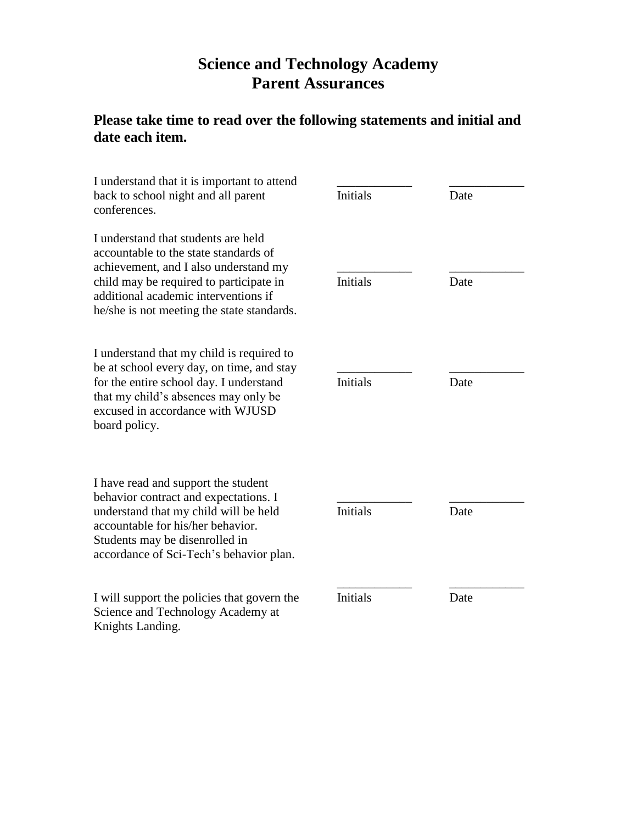# **Science and Technology Academy Parent Assurances**

# **Please take time to read over the following statements and initial and date each item.**

| I understand that it is important to attend<br>back to school night and all parent<br>conferences.                                                                                                                                                     | Initials        | Date |  |
|--------------------------------------------------------------------------------------------------------------------------------------------------------------------------------------------------------------------------------------------------------|-----------------|------|--|
| I understand that students are held<br>accountable to the state standards of<br>achievement, and I also understand my<br>child may be required to participate in<br>additional academic interventions if<br>he/she is not meeting the state standards. | Initials        | Date |  |
| I understand that my child is required to<br>be at school every day, on time, and stay<br>for the entire school day. I understand<br>that my child's absences may only be<br>excused in accordance with WJUSD<br>board policy.                         | <b>Initials</b> | Date |  |
| I have read and support the student<br>behavior contract and expectations. I<br>understand that my child will be held<br>accountable for his/her behavior.<br>Students may be disenrolled in<br>accordance of Sci-Tech's behavior plan.                | <b>Initials</b> | Date |  |
| I will support the policies that govern the<br>Science and Technology Academy at<br>Knights Landing.                                                                                                                                                   | <b>Initials</b> | Date |  |